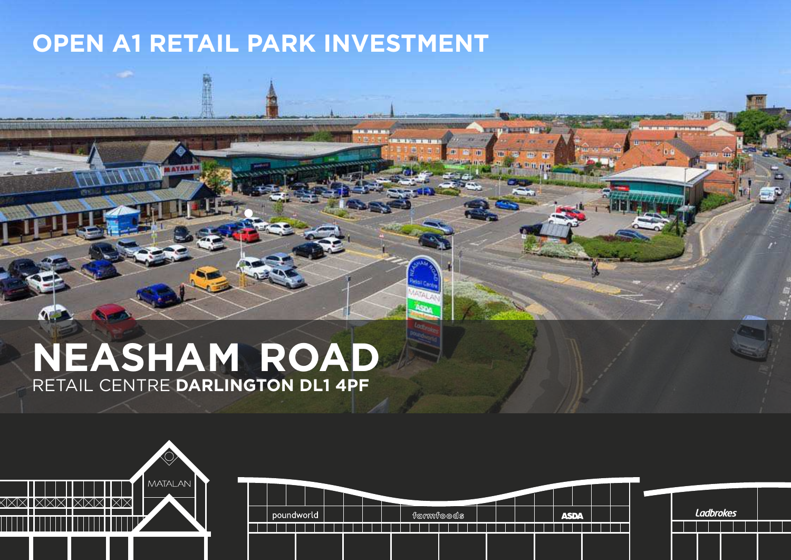# **OPEN A1 RETAIL PARK INVESTMENT**

# **NEASHAM ROAD** RETAIL CENTRE **DARLINGTON DL1 4PF**

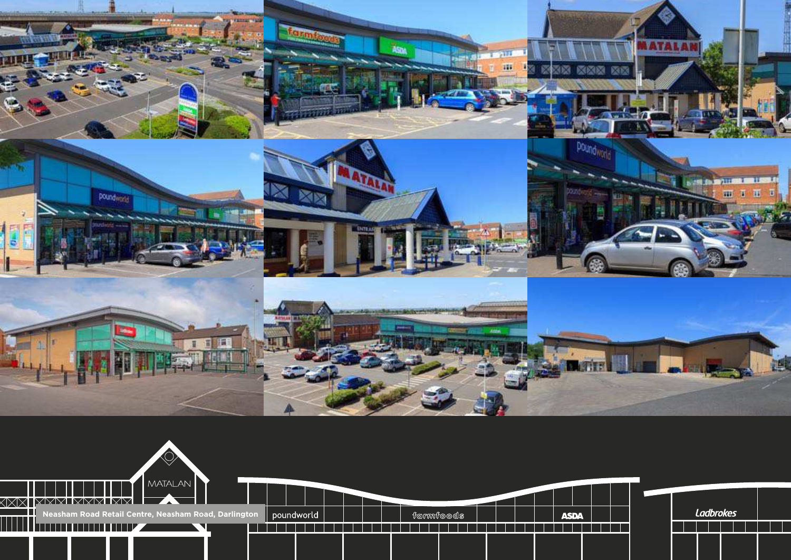

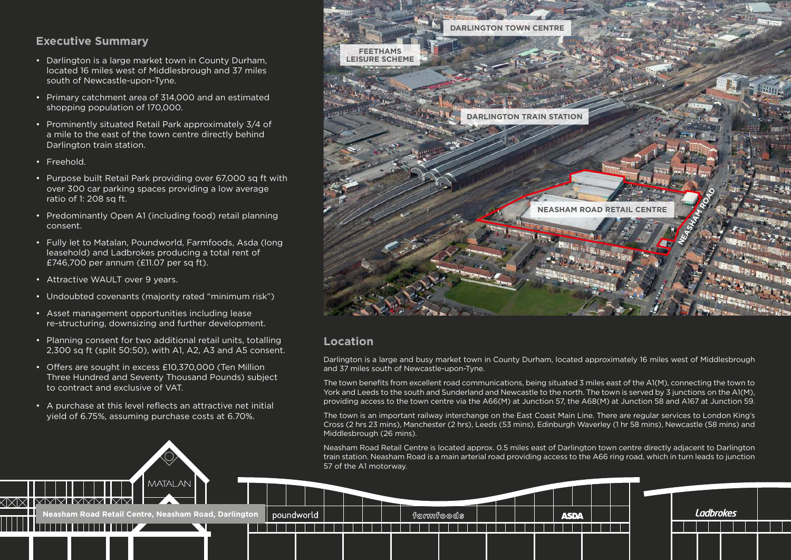## **Executive Summary**

- Darlington is a large market town in County Durham, located 16 miles west of Middlesbrough and 37 miles south of Newcastle-upon-Tyne.
- Primary catchment area of 314,000 and an estimated shopping population of 170,000.
- Prominently situated Retail Park approximately 3/4 of a mile to the east of the town centre directly behind Darlington train station.
- Freehold.
- Purpose built Retail Park providing over 67,000 sq ft with over 300 car parking spaces providing a low average ratio of 1: 208 sq ft.
- Predominantly Open A1 (including food) retail planning consent.
- Fully let to Matalan, Poundworld, Farmfoods, Asda (long leasehold) and Ladbrokes producing a total rent of £746,700 per annum (£11.07 per sq ft).
- Attractive WAULT over 9 years.
- Undoubted covenants (majority rated "minimum risk")
- Asset management opportunities including lease re-structuring, downsizing and further development.
- Planning consent for two additional retail units, totalling 2,300 sq ft (split 50:50), with A1, A2, A3 and A5 consent.
- Offers are sought in excess £10,370,000 (Ten Million Three Hundred and Seventy Thousand Pounds) subject to contract and exclusive of VAT.
- A purchase at this level reflects an attractive net initial yield of 6.75%, assuming purchase costs at 6.70%.

**Neasham Road Retail Centre, Neasham Road, Darlington** 

**MATAL AM** 



## **Location**

poundworld

Darlington is a large and busy market town in County Durham, located approximately 16 miles west of Middlesbrough and 37 miles south of Newcastle-upon-Tyne.

The town benefits from excellent road communications, being situated 3 miles east of the A1(M), connecting the town to York and Leeds to the south and Sunderland and Newcastle to the north. The town is served by 3 junctions on the A1(M), providing access to the town centre via the A66(M) at Junction 57, the A68(M) at Junction 58 and A167 at Junction 59.

The town is an important railway interchange on the East Coast Main Line. There are regular services to London King's Cross (2 hrs 23 mins), Manchester (2 hrs), Leeds (53 mins), Edinburgh Waverley (1 hr 58 mins), Newcastle (58 mins) and Middlesbrough (26 mins).

Neasham Road Retail Centre is located approx. 0.5 miles east of Darlington town centre directly adjacent to Darlington train station. Neasham Road is a main arterial road providing access to the A66 ring road, which in turn leads to junction 57 of the A1 motorway.

**ASDA** 

 $f$ രുന്ന്ണ $f$ രൈരി $\bar{s}$ 

**Ladbrokes**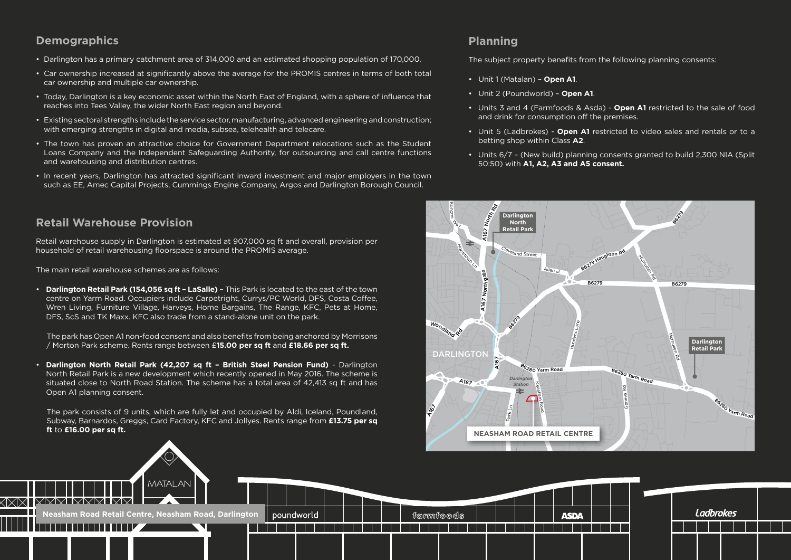## **Demographics**

- Darlington has a primary catchment area of 314,000 and an estimated shopping population of 170,000.
- Car ownership increased at significantly above the average for the PROMIS centres in terms of both total car ownership and multiple car ownership.
- Today, Darlington is a key economic asset within the North East of England, with a sphere of influence that reaches into Tees Valley, the wider North East region and beyond.
- Existing sectoral strengths include the service sector, manufacturing, advanced engineering and construction; with emerging strengths in digital and media, subsea, telehealth and telecare.
- The town has proven an attractive choice for Government Department relocations such as the Student Loans Company and the Independent Safeguarding Authority, for outsourcing and call centre functions and warehousing and distribution centres.
- In recent years, Darlington has attracted significant inward investment and major employers in the town such as EE, Amec Capital Projects, Cummings Engine Company, Argos and Darlington Borough Council.

## **Retail Warehouse Provision**

Retail warehouse supply in Darlington is estimated at 907,000 sq ft and overall, provision per household of retail warehousing floorspace is around the PROMIS average.

The main retail warehouse schemes are as follows:

• **Darlington Retail Park (154,056 sq ft – LaSalle)** – This Park is located to the east of the town centre on Yarm Road. Occupiers include Carpetright, Currys/PC World, DFS, Costa Coffee, Wren Living, Furniture Village, Harveys, Home Bargains, The Range, KFC, Pets at Home, DFS, ScS and TK Maxx. KFC also trade from a stand-alone unit on the park.

 The park has Open A1 non-food consent and also benefits from being anchored by Morrisons / Morton Park scheme. Rents range between £**15.00 per sq ft** and **£18.66 per sq ft.**

• **Darlington North Retail Park (42,207 sq ft – British Steel Pension Fund)** - Darlington North Retail Park is a new development which recently opened in May 2016. The scheme is situated close to North Road Station. The scheme has a total area of 42,413 sq ft and has Open A1 planning consent.

 The park consists of 9 units, which are fully let and occupied by Aldi, Iceland, Poundland, Subway, Barnardos, Greggs, Card Factory, KFC and Jollyes. Rents range from **£13.75 per sq ft** to **£16.00 per sq ft.**

## **Planning**

The subject property benefits from the following planning consents:

- Unit 1 (Matalan) – **Open A1**.
- Unit 2 (Poundworld) – **Open A1**.
- Units 3 and 4 (Farmfoods & Asda) **Open A1** restricted to the sale of food and drink for consumption off the premises.
- Unit 5 (Ladbrokes) **Open A1** restricted to video sales and rentals or to a betting shop within Class **A2**.
- Units 6/7 (New build) planning consents granted to build 2,300 NIA (Split 50:50) with **A1, A2, A3 and A5 consent.**



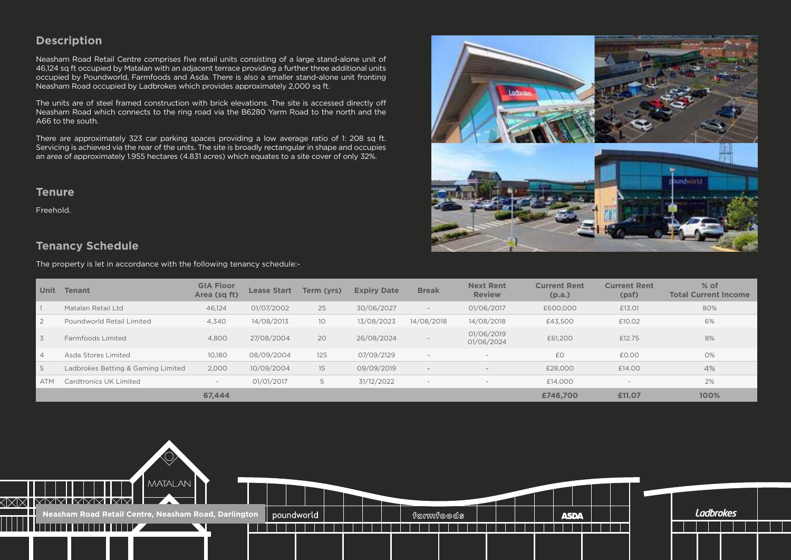## **Description**

Neasham Road Retail Centre comprises five retail units consisting of a large stand-alone unit of 46.124 sq ft occupied by Matalan with an adiacent terrace providing a further three additional units occupied by Poundworld, Farmfoods and Asda. There is also a smaller stand-alone unit fronting Neasham Road occupied by Ladbrokes which provides approximately 2,000 sq ft.

The units are of steel framed construction with brick elevations. The site is accessed directly off Neasham Road which connects to the ring road via the B6280 Yarm Road to the north and the A66 to the south.

There are approximately 323 car parking spaces providing a low average ratio of 1: 208 sq ft. Servicing is achieved via the rear of the units. The site is broadly rectangular in shape and occupies an area of approximately 1.955 hectares (4.831 acres) which equates to a site cover of only 32%.

#### **Tenure**

Freehold.

## **Tenancy Schedule**

The property is let in accordance with the following tenancy schedule:-



| <b>Unit</b>    | <b>Tenant</b>                      | <b>GIA Floor</b><br>Area (sq ft) | <b>Lease Start</b> | Term (vrs)      | <b>Expiry Date</b> | <b>Break</b> | <b>Next Rent</b><br><b>Review</b> | <b>Current Rent</b><br>(p.a.) | <b>Current Rent</b><br>(psf) | $%$ of<br><b>Total Current Income</b> |
|----------------|------------------------------------|----------------------------------|--------------------|-----------------|--------------------|--------------|-----------------------------------|-------------------------------|------------------------------|---------------------------------------|
|                | Matalan Retail Ltd                 | 46,124                           | 01/07/2002         | 25              | 30/06/2027         | $-$          | 01/06/2017                        | £600,000                      | £13.01                       | 80%                                   |
|                | Poundworld Retail Limited          | 4,340                            | 14/08/2013         | 10 <sup>°</sup> | 13/08/2023         | 14/08/2018   | 14/08/2018                        | £43.500                       | £10.02                       | 6%                                    |
| 3              | Farmfoods Limited                  | 4,800                            | 27/08/2004         | 20              | 26/08/2024         |              | 01/06/2019<br>01/06/2024          | £61,200                       | £12.75                       | 8%                                    |
| $\overline{4}$ | Asda Stores Limited                | 10,180                           | 08/09/2004         | 125             | 07/09/2129         |              | $\overline{\phantom{a}}$          | £0                            | £0.00                        | 0%                                    |
| 5              | Ladbrokes Betting & Gaming Limited | 2,000                            | 10/09/2004         | 15              | 09/09/2019         | $\sim$       | $\overline{\phantom{a}}$          | £28,000                       | £14.00                       | 4%                                    |
| <b>ATM</b>     | Cardtronics UK Limited             | $\overline{\phantom{a}}$         | 01/01/2017         |                 | 31/12/2022         |              |                                   | £14.000                       | $\overline{\phantom{0}}$     | 2%                                    |
|                |                                    | 67.444                           |                    |                 |                    |              |                                   | £746,700                      | £11.07                       | 100%                                  |

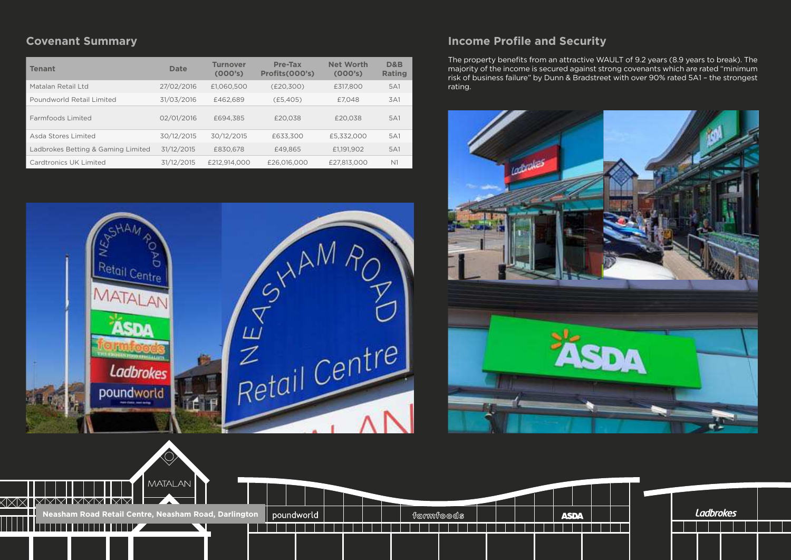# **Covenant Summary**

| Tenant                             | Date       | <b>Turnover</b><br>(000's) | Pre-Tax<br>Profits (000's) | <b>Net Worth</b><br>(000's) | D&B<br><b>Rating</b> |
|------------------------------------|------------|----------------------------|----------------------------|-----------------------------|----------------------|
| Matalan Retail Ltd                 | 27/02/2016 | £1.060.500                 | (E20.300)                  | £317,800                    | 5A1                  |
| Poundworld Retail Limited          | 31/03/2016 | £462.689                   | (E5.405)                   | £7.048                      | 3A1                  |
| Farmfoods Limited                  | 02/01/2016 | £694.385                   | £20.038                    | £20.038                     | 5A1                  |
| Asda Stores Limited                | 30/12/2015 | 30/12/2015                 | £633,300                   | £5.332.000                  | 5A1                  |
| Ladbrokes Betting & Gaming Limited | 31/12/2015 | £830.678                   | £49.865                    | £1.191.902                  | 5A1                  |
| Cardtronics UK Limited             | 31/12/2015 | £212.914.000               | £26,016,000                | £27.813.000                 | N <sub>1</sub>       |



## **Income Profile and Security**

The property benefits from an attractive WAULT of 9.2 years (8.9 years to break). The majority of the income is secured against strong covenants which are rated "minimum risk of business failure" by Dunn & Bradstreet with over 90% rated 5A1 – the strongest rating.



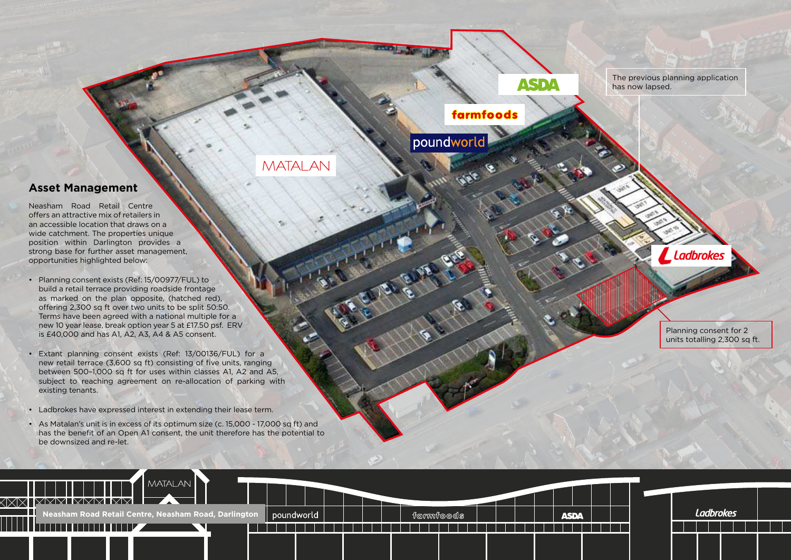#### **Asset Management**

Neasham Road Retail Centre offers an attractive mix of retailers in an accessible location that draws on a wide catchment. The properties unique position within Darlington provides a strong base for further asset management, opportunities highlighted below:

- Planning consent exists (Ref: 15/00977/FUL) to build a retail terrace providing roadside frontage as marked on the plan opposite, (hatched red), offering 2,300 sq ft over two units to be split 50:50. Terms have been agreed with a national multiple for a new 10 year lease, break option year 5 at £17.50 psf. ERV is £40,000 and has A1, A2, A3, A4 & A5 consent.
- Extant planning consent exists (Ref: 13/00136/FUL) for a new retail terrace (3,600 sq ft) consisting of five units, ranging between 500–1,000 sq ft for uses within classes A1, A2 and A5, subject to reaching agreement on re-allocation of parking with existing tenants.
- Ladbrokes have expressed interest in extending their lease term.
- As Matalan's unit is in excess of its optimum size (c. 15,000 17,000 sq ft) and has the benefit of an Open A1 consent, the unit therefore has the potential to be downsized and re-let.



The previous planning application has now lapsed.

# farmfoods

poundwo

**MATALAN** 

**Ladbrokes** 

Planning consent for 2 units totalling 2,300 sq ft.